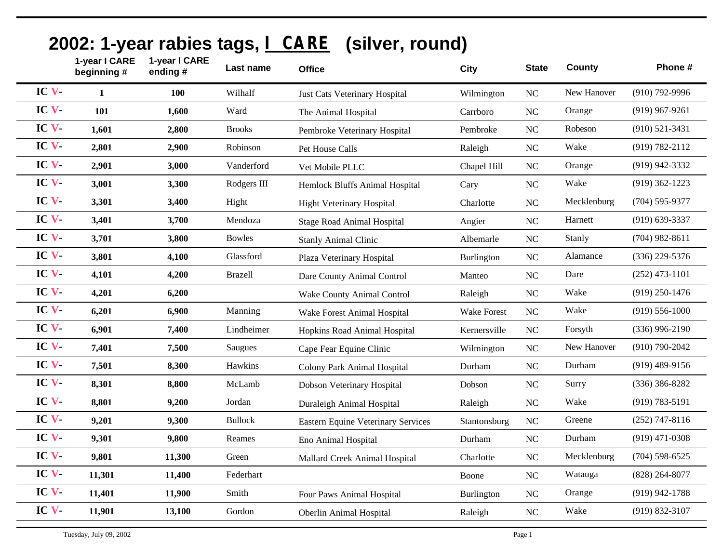|       | 1-year I CARE<br>beginning # | 1-year I CARE<br>ending# | Last name      | <b>Office</b>                             | City         | <b>State</b> | County      | Phone #            |
|-------|------------------------------|--------------------------|----------------|-------------------------------------------|--------------|--------------|-------------|--------------------|
| IC V- | $\mathbf{1}$                 | 100                      | Wilhalf        | Just Cats Veterinary Hospital             | Wilmington   | NC           | New Hanover | $(910)$ 792-9996   |
| IC V- | 101                          | 1,600                    | Ward           | The Animal Hospital                       | Carrboro     | $\rm NC$     | Orange      | $(919)$ 967-9261   |
| IC V  | 1,601                        | 2,800                    | <b>Brooks</b>  | Pembroke Veterinary Hospital              | Pembroke     | $\rm NC$     | Robeson     | $(910)$ 521-3431   |
| IC V  | 2,801                        | 2,900                    | Robinson       | Pet House Calls                           | Raleigh      | NC           | Wake        | (919) 782-2112     |
| IC V  | 2,901                        | 3,000                    | Vanderford     | Vet Mobile PLLC                           | Chapel Hill  | NC           | Orange      | (919) 942-3332     |
| IC V- | 3,001                        | 3,300                    | Rodgers III    | Hemlock Bluffs Animal Hospital            | Cary         | $\rm NC$     | Wake        | $(919)$ 362-1223   |
| IC V- | 3,301                        | 3,400                    | Hight          | Hight Veterinary Hospital                 | Charlotte    | $\rm NC$     | Mecklenburg | $(704) 595 - 9377$ |
| IC V  | 3,401                        | 3,700                    | Mendoza        | <b>Stage Road Animal Hospital</b>         | Angier       | NC           | Harnett     | $(919)$ 639-3337   |
| IC V  | 3,701                        | 3,800                    | <b>Bowles</b>  | <b>Stanly Animal Clinic</b>               | Albemarle    | $\rm NC$     | Stanly      | $(704)$ 982-8611   |
| IC V- | 3,801                        | 4,100                    | Glassford      | Plaza Veterinary Hospital                 | Burlington   | $\rm NC$     | Alamance    | (336) 229-5376     |
| IC V  | 4,101                        | 4,200                    | <b>Brazell</b> | Dare County Animal Control                | Manteo       | NC           | Dare        | $(252)$ 473-1101   |
| IC V- | 4,201                        | 6,200                    |                | Wake County Animal Control                | Raleigh      | NC           | Wake        | $(919)$ 250-1476   |
| IC V  | 6,201                        | 6,900                    | Manning        | Wake Forest Animal Hospital               | Wake Forest  | $\rm NC$     | Wake        | $(919) 556 - 1000$ |
| IC V  | 6,901                        | 7,400                    | Lindheimer     | Hopkins Road Animal Hospital              | Kernersville | NC           | Forsyth     | $(336)$ 996-2190   |
| IC V  | 7,401                        | 7,500                    | Saugues        | Cape Fear Equine Clinic                   | Wilmington   | $\rm NC$     | New Hanover | $(910)$ 790-2042   |
| IC V  | 7,501                        | 8,300                    | Hawkins        | Colony Park Animal Hospital               | Durham       | NC           | Durham      | $(919)$ 489-9156   |
| IC V  | 8,301                        | 8,800                    | McLamb         | Dobson Veterinary Hospital                | Dobson       | $\rm NC$     | Surry       | $(336)$ 386-8282   |
| IC V  | 8,801                        | 9,200                    | Jordan         | Duraleigh Animal Hospital                 | Raleigh      | NC           | Wake        | $(919) 783 - 5191$ |
| IC V- | 9,201                        | 9,300                    | <b>Bullock</b> | <b>Eastern Equine Veterinary Services</b> | Stantonsburg | NC           | Greene      | $(252)$ 747-8116   |
| IC V  | 9,301                        | 9,800                    | Reames         | Eno Animal Hospital                       | Durham       | $\rm NC$     | Durham      | $(919)$ 471-0308   |
| IC V  | 9,801                        | 11,300                   | Green          | Mallard Creek Animal Hospital             | Charlotte    | $\rm NC$     | Mecklenburg | $(704)$ 598-6525   |
| IC V  | 11,301                       | 11,400                   | Federhart      |                                           | Boone        | $\rm NC$     | Watauga     | $(828)$ 264-8077   |
| IC V  | 11,401                       | 11,900                   | Smith          | Four Paws Animal Hospital                 | Burlington   | NC           | Orange      | (919) 942-1788     |
| IC V  | 11,901                       | 13,100                   | Gordon         | Oberlin Animal Hospital                   | Raleigh      | $\rm NC$     | Wake        | $(919) 832 - 3107$ |

## **2002: 1-year rabies tags, I CARE (silver, round)**